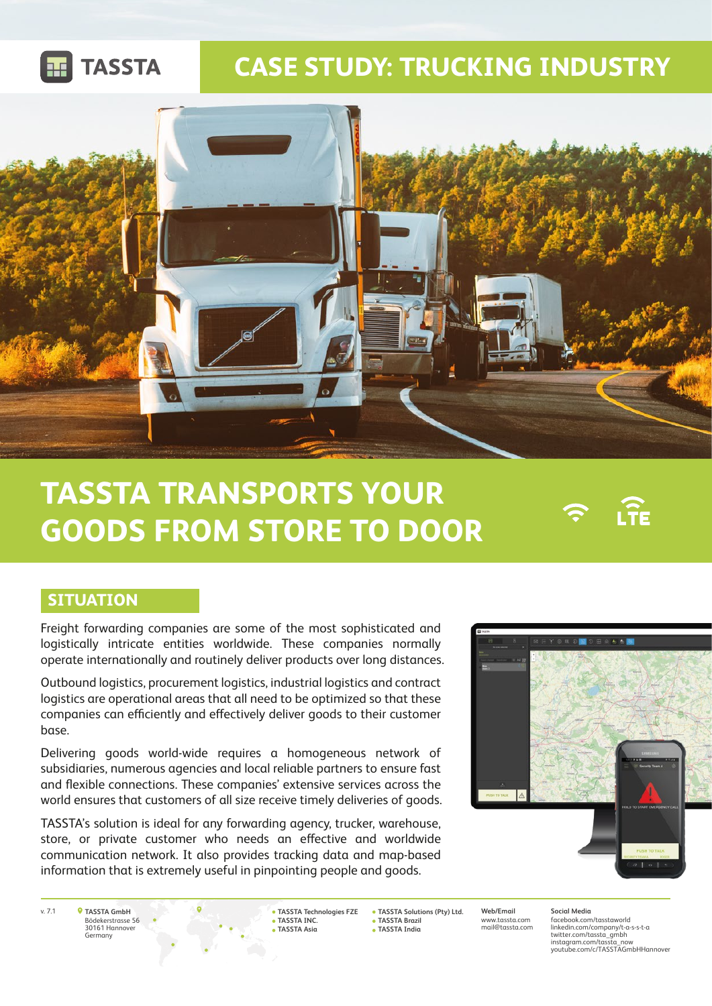

## **CASE STUDY: TRUCKING INDUSTRY**



# **TASSTA TRANSPORTS YOUR GOODS FROM STORE TO DOOR**

### **SITUATION**

Freight forwarding companies are some of the most sophisticated and logistically intricate entities worldwide. These companies normally operate internationally and routinely deliver products over long distances.

Outbound logistics, procurement logistics, industrial logistics and contract logistics are operational areas that all need to be optimized so that these companies can efficiently and effectively deliver goods to their customer base.

Delivering goods world-wide requires a homogeneous network of subsidiaries, numerous agencies and local reliable partners to ensure fast and flexible connections. These companies' extensive services across the world ensures that customers of all size receive timely deliveries of goods.

TASSTA's solution is ideal for any forwarding agency, trucker, warehouse, store, or private customer who needs an effective and worldwide communication network. It also provides tracking data and map-based information that is extremely useful in pinpointing people and goods.



 $\widehat{\mathsf{H}}$ 

**TASSTA GmbH** Bödekerstrasse 56 30161 Hannover Germany

**TASSTA Technologies FZE TASSTA INC. TASSTA Asia**

v. 7.1 **Web/Email TASSTA Solutions (Pty) Ltd. TASSTA Brazil TASSTA India**

www.tassta.com mail@tassta.com

**Social Media** facebook.com/tasstaworld linkedin.com/company/t-a-s-s-t-a twitter.com/tassta\_gmbh instagram.com/tassta\_now instagram.com/tassta\_now<br>youtube.com/c/TASSTAGmbHHannover